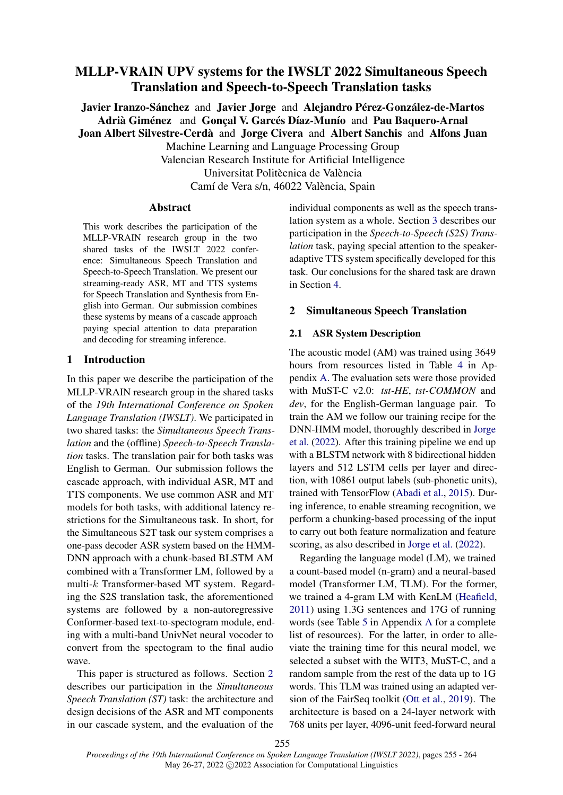# MLLP-VRAIN UPV systems for the IWSLT 2022 Simultaneous Speech Translation and Speech-to-Speech Translation tasks

Javier Iranzo-Sánchez and Javier Jorge and Alejandro Pérez-González-de-Martos Adrià Giménez and Gonçal V. Garcés Díaz-Munío and Pau Baquero-Arnal Joan Albert Silvestre-Cerdà and Jorge Civera and Albert Sanchis and Alfons Juan Machine Learning and Language Processing Group Valencian Research Institute for Artificial Intelligence Universitat Politècnica de València Camí de Vera s/n, 46022 València, Spain

## Abstract

This work describes the participation of the MLLP-VRAIN research group in the two shared tasks of the IWSLT 2022 conference: Simultaneous Speech Tran[slation and](#page-7-0) [Speec](#page-7-0)[h-to-Speech Transl](#page-7-1)[ation. We present our](#page-8-0) streaming-ready ASR, MT and TTS systems for Speech Translation and Synthesis from English into German. Our submission combines these systems by means of a cascade approach paying special attention to data preparation and decoding for streaming inference.

## 1 Introduction

In this paper we describe the participation of the MLLP-VRAIN research group in the shared tasks of the *19th International Conference on Spoken Language Translation (IWSLT)*. We participated in two shared tasks: the *Simultaneous Speech Translation* and the (offline) *Speech-to-Speech Translation* tasks. The translation pair for both tasks was English to German. Our submission follows the cascade approach, with individual ASR, MT and TTS components. We use common ASR and MT models for both tasks, with additional latency restrictions for the Simultaneous task. In short, for the Simultaneous S2T task our system comprises a one-pass decoder ASR system based on the HMM-DNN approach with a chu[nk-](#page-0-0)based BLSTM AM combined with a Transformer LM, followed by a multi-k Transformer-based MT system. Regarding the S2S translation task, the aforementioned systems are followed by a non-autoregressive Conformer-based text-to-spectogram module, ending wit[h a multi-band Univ](#page-7-2)Net neural vocoder to convert from the [spectogram to the fi](#page-7-3)nal audio wave.

<span id="page-0-0"></span>This pape[r is structured as follows. Sec](#page-7-4)tion 2 describes our participati[on in the](#page-8-1) *Simult[aneous](#page-8-1) Speech Translation (ST)* [task: the architectur](#page-7-5)e and design decisions of the ASR [and MT compon](#page-8-2)ents in [our cascade system, and the evaluat](https://github.com/moore3930/MirrorAlign)ion of the <span id="page-0-2"></span>individual components as well as the speech translation system as a whole. Section 3 describes our participation in the *Speech-to-Speech (S2S) Translation* task, paying special attention to the speakeradaptive TTS system specifically developed for this task. Our conclusions for the shared task are drawn in Section 4.

## 2 Simultaneous Speech Translation

## 2.1 ASR System Description

The acoustic model (AM) was trained using 3649 hour[s from resources liste](#page-7-6)[d in Table](#page-8-3) 4 i[n Ap](#page-8-3)pendix A. The evaluation sets were those provided with MuST-C v2.0: *tst-HE*, *tst-COMMON* and *dev*, for th[e English-German language](#page-7-7) pair. To train the AM we follow our training recipe for the DNN-HMM model, thoroughly described in Jorge et al. (202[2\). Afte](#page-7-8)[r this training pi](#page-7-9)peline w[e end up](#page-7-8) [with a BLS](#page-7-8)TM network with 8 bidirectional hidden layers and 512 LSTM cells per layer and direction, with 10861 output labels (sub-phonetic units), trained with TensorFlow (Abadi et al., 2015). During inference, to enable streami[ng recognition, we](#page-7-0) [perform a chunking-](#page-8-0)based processing of the input to carry out both feature normalization and feature scoring, as also described in Jorge et al. (2022).

Regarding the language model (LM), we trained a count-based model (n-gram) and a neural-based model (Transformer LM, TLM). For the former, we trained a 4-gram LM with Ke[nLM \(Heafield,](#page-8-4) [2011\) using](#page-8-4) 1.3G sentences and 17G of running words (see Table 5 in Appendix A for a co[mplete](#page-7-10) [list of resou](#page-7-10)rces). For the [latter, in order to all](#page-7-11)[e](#page-0-1)viate the training time for this neural model, we selected a subset with the WIT3, MuST-C, and a random sample from the rest of the data up to 1G words. This TLM was trained using an adapted version of the FairSeq toolkit (Ott et al., 2019). The architecture is based on a 24-layer network with 768 units per layer, 4096-unit feed-forward neural

<span id="page-0-1"></span>255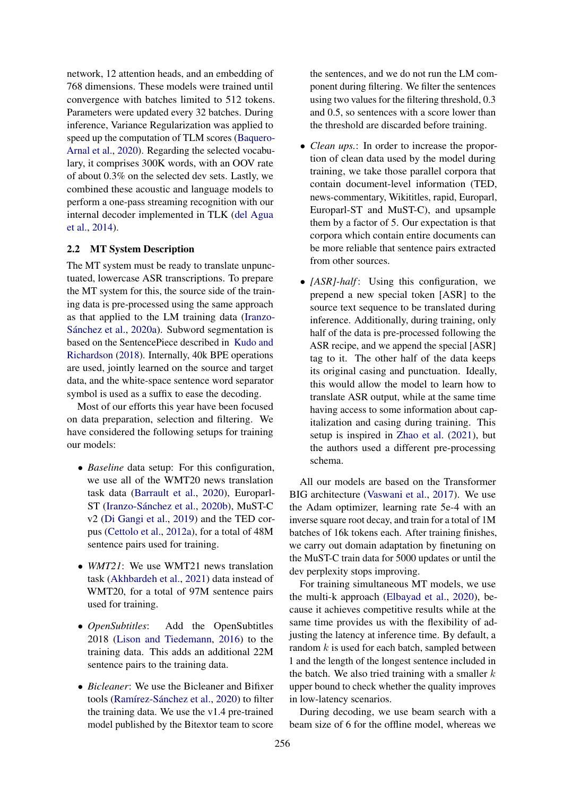network, 12 attention heads, and an embedding of 768 dimensions. These models were trained until convergence with batches limited to 512 tokens. Parameters were updated every 32 batches. During inference, Variance Regularization was applied to speed up the computation of TLM scores (Baquero-Arnal et al., 2020). Regarding the selected voc[abu](#page-7-12)[lary, it comprises 3](#page-7-12)00K words, with an OOV rate of about 0.3% on the selected dev sets. Lastly, we combined these acoustic a[nd](#page-2-0) language models to perform a one-pass streaming recognition with our internal decoder implemented in TLK (del Agua et al., 2014).

### 2.2 MT System D[escrip](#page-3-0)tion

The MT system must be ready to tran[sla](#page-0-2)te unpunctuated, lowercase ASR transcriptions. To prepare the MT system for this, the source side of the training data is pre-processed using the same approach as that applied to the LM training data (Iranzo-Sánchez et al., 2020a). Subword segmentation is based on the SentencePiece described in Kudo and Richardson (2018). Internally, 40k BPE operations are used, jointly learned on the source and target data, and the white-space sentence word separator symbol is used as a suffix to ease the decoding.

Most of our efforts this year have been focused on data preparation, selecti[on and filtering. W](#page-7-13)e have considered the following setups for training our models:

- *Baseline* data setup: For this configuration, we use all of the WMT20 news translation task data (Barrault et al., 2020), Europarl-ST (Iranzo-Sánchez et al., 2020b), MuST-C v2 (Di Gangi et al., 2019) and the TED corpus (Cettolo et al., 2012a), for a total of 48M sentence pairs used for training.
- *WMT21*: We use WMT21 news translation task (Akhbardeh et al., 2021) data instead of WMT20, for a total of 97M sentence pairs used for training.
- *OpenSubtitles*: Add the OpenSubtitles 2018 (Lison and Tiedemann, 2016) to the training data. This adds an additional 22M sentence pairs to the training data.
- *Bicleaner*: We use the Bicleaner and Bifixer tools (Ramírez-Sánchez et al., 2020) to filter the training data. We use the v1.4 pre-trained model published by the Bitextor team to score

the sentences, and we do not run the LM component during filtering. We filter the sentences using two values for the filtering threshold, 0.3 and 0.5, so sentences with a score lower than the threshold are discarded before training.

- *Clean ups.*: In order to increase the propor[tion of clean da](#page-7-2)ta used by the model during training, we take those parallel corpora that contain document-level inform[ation \(TED,](#page-7-10) [n](#page-7-10)ews-commenta[ry, Wikititles, rapid, E](#page-7-14)[uroparl](#page-7-11), Europarl-ST and MuST-C), and upsample them by a factor of 5. Our expectation is that corpora which contain entire documents can be more [reliable that senten](#page-8-5)ce pairs extracted from other sources.
- *[ASR]-half*: Using this configuration, we prepend a new special token [ASR] to the source text sequence to be translated during inference. Additionally, during training, only half of the data is pre-processed following the ASR recipe, and we append the sp[ecial \[ASR\]](#page-7-10) [t](#page-7-10)ag to it. The other half of the data keeps its original casing and punctuation. Ideally, this would allow the model to learn how to translate ASR output, while at the same time having access to some information about capitalization and casing during training. This setup is inspired in Zhao et al. (2021), but the authors used a different pre-processing schema.

All our models are based on t[he Transformer](#page-7-15) [BIG a](#page-7-15)rchitecture (Vaswani et al., 2017). We use the Adam optimizer, learning rate 5e-4 with an inverse square root decay, and train for a total of 1M batches of 16k tokens each. After training finishes, we carry out d[omain adaptation by](#page-8-6) finetuning on the MuST-C train data for 5000 updates or until the dev perplexity stops improving.

For training simultaneous MT models, we use the multi-k app[roach \(Elbayad et](#page-7-0) al., 2020), because it achieves competitive results while at the same time provides us with the flexibility of adjusting the latency at inference time. By default, a random  $k$  is used for each batch, sampled between 1 and the length of the longest sentence included in the batch. We also trie[d training with a s](#page-7-0)maller  $k$ upper bound to check whether the quality improves in low-latency scenarios.

During decoding, we use beam search with a beam size of 6 for the offline model, whereas we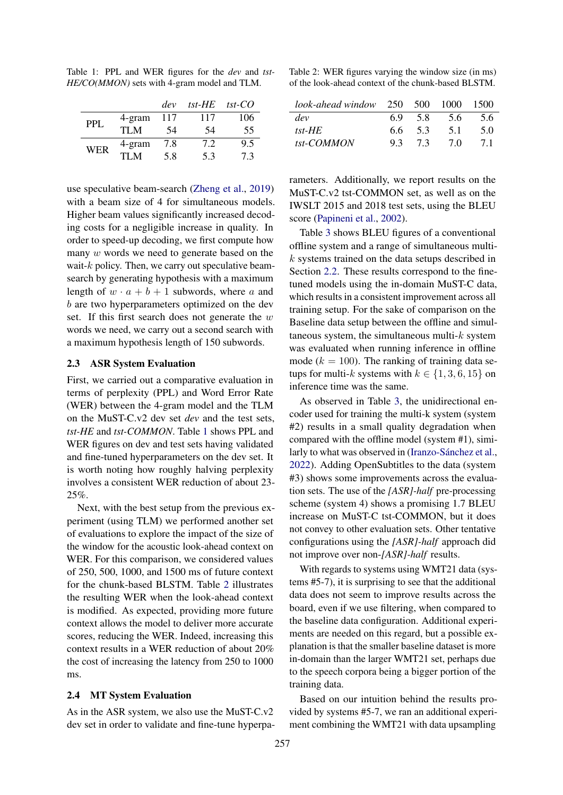<span id="page-2-1"></span>Table 1: PPL and WER figures for the *dev* and *tst-HE/CO(MMON)* sets with 4-gram model and TLM.

|            |        | dev | tst- $HE$ | $tst$ -CO |
|------------|--------|-----|-----------|-----------|
| PPL.       | 4-gram | 117 | 117       | 106       |
|            | TI M   | 54  | 54        | 55        |
| <b>WER</b> | 4-gram | 7.8 | 7.2       | 9.5       |
|            | TI M   | 5.8 | 5.3       | 73        |

use speculative beam-search (Zheng et al., 2019) with a beam size of 4 for simultaneous models. Higher beam values significantly increased decoding costs for a negligible increase in quality. In order to speed-up decoding, we first compute how many w words we need to generate based on the wait- $k$  policy. Then, we carry out speculative beamsearch by generating hypothesis with a maximum length of  $w \cdot a + b + 1$  subwords, where a and b are two hyperparameters optimized on the dev [set. If this first search do](#page-8-4)es not generate the  $w$ words we need, we carry out a second search with a maximum hypothesis length of 150 subwords.

#### 2.3 ASR System Evaluation

First, we carried out a comparative evaluation in terms of perplexity (PPL) and Word Error Rate (WER[\) between the 4-gram](#page-8-0) model and the TLM on the MuST-C.v2 dev set *dev* and the test sets, *tst-HE* and *tst-COMMON*. Table 1 shows PPL and WER figures on dev and test sets having validated and fine-tuned hyperparameters on the dev set. It is worth noting how roughly halving perplexity involves a consistent WER reduction of about 23- 25%.

Next, with the best setup from the previous experiment (using TLM) we performed another set of evaluations to explore the impact of the size of the window for the acoustic look-ahead context on WER. For this comparison, we considered values of 250, 500, 1000, and 1500 ms of future context for the chunk-based BLSTM. Table 2 illustrates the resulting WER when the look-ahead context is modified. As expected, providing more future context allows the model to deliver more accurate scores, reducing the WER. Indeed, increasing this context results in a WER reduction of about 20% the cost of increasing the latency from 250 to 1000 ms.

#### <span id="page-2-0"></span>2.4 MT System Evaluation

As in the ASR system, we also use the MuST-C.v2 dev set in order to validate and fine-tune hyperpa-

Table 2: WER figures varying the window size (in ms) of the look-ahead context of the chunk-based BLSTM.

| $look-ahead window$ 250 500 1000 |     |     |     | -1500 |
|----------------------------------|-----|-----|-----|-------|
| dev                              | 69  | 58  | 5.6 | 5.6   |
| tst- $HE$                        | 66. | 5.3 | 5.1 | 5 O   |
| tst-COMMON                       | 9.3 | 73  | 70  | 71    |

rameters. Additionally, we report results on the MuST-C.v2 tst-COMMON set, as well as on the IWSLT 2015 and 2018 test sets, using the BLEU score (Papineni et al., 2002).

Table 3 shows BLEU figures of a conventional offline system and a range of simultaneous multik systems trained on the data setups described in Section 2.2. These results correspond to the finetuned models using the in-domain MuST-C data, which results in a consistent improvement across all training setup. For the sake of comparison on the Baseline data setup between the offline and simultaneous system, the simultaneous multi- $k$  system was evaluated when running inference in offline mode ( $k = 100$ ). The ranking of training data setups for multi-k systems with  $k \in \{1, 3, 6, 15\}$  $k \in \{1, 3, 6, 15\}$  $k \in \{1, 3, 6, 15\}$  on inference time was the same.

As observed in Table 3, the unidirectional encoder used for training the multi-k system (system #2) results in a small quality degradation when compared with the offline model (system #1), similarly to what was observed in (Iranzo-Sánchez et al., 2022)[. Adding OpenSubtit](#page-7-16)l[es to the data \(syste](#page-7-17)m #3) shows some improvements across the evaluation sets. The use of the *[ASR]-half* pre-processing scheme (system 4) shows a promising 1.7 BLEU increase on MuST-C tst-COMMON, but it does not convey to other evaluation sets. Other tentative configurations using the *[ASR]-half* approach did not improve over non-*[ASR]-half* results.

With regards to systems using WMT21 data (systems #5-7), it is surprising to see that the additional data does not seem to improve results across the board, even if we use filtering, when compared to the baseline data configuration. Additional experiments are needed on this regard, but a possible explanation is that the smaller baseline dataset is more in-domain than the larger WMT21 set, perhaps due to the speech corpora being a bigger portion of the training data.

Based on our intuition behind the results provided by systems #5-7, we ran an additional experiment combining the WMT21 with data upsampl[ing](#page-7-18)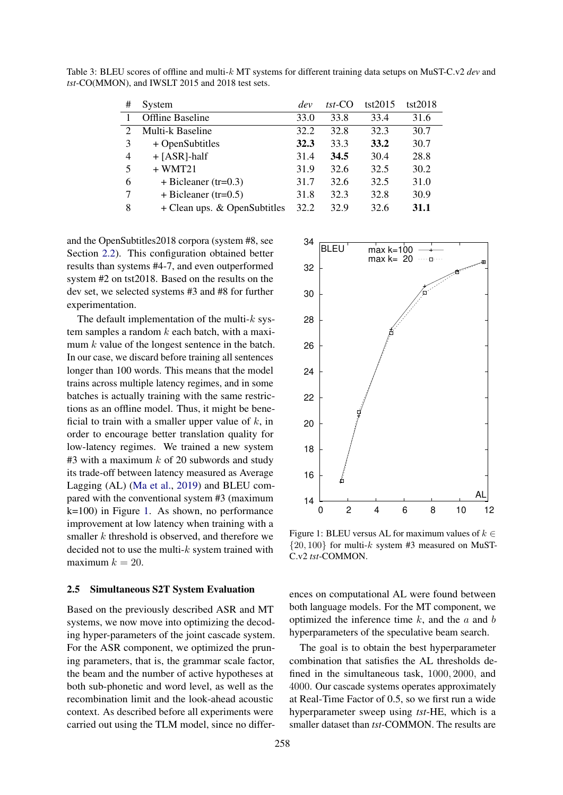| #                           | System                       | dev  | $tst$ -CO | tst2015 | tst2018 |
|-----------------------------|------------------------------|------|-----------|---------|---------|
|                             | <b>Offline Baseline</b>      | 33.0 | 33.8      | 33.4    | 31.6    |
| $\mathcal{D}_{\mathcal{A}}$ | Multi-k Baseline             | 32.2 | 32.8      | 32.3    | 30.7    |
| 3                           | + OpenSubtitles              | 32.3 | 33.3      | 33.2    | 30.7    |
| 4                           | $+$ [ASR]-half               | 31.4 | 34.5      | 30.4    | 28.8    |
| 5                           | $+$ WMT21                    | 31.9 | 32.6      | 32.5    | 30.2    |
| 6                           | $+ Bicleaner (tr=0.3)$       | 31.7 | 32.6      | 32.5    | 31.0    |
| 7                           | $+ Bicleaner (tr=0.5)$       | 31.8 | 32.3      | 32.8    | 30.9    |
| 8                           | + Clean ups. & OpenSubtitles | 32.2 | 32.9      | 32.6    | 31.1    |

[Table 3: BLE](#page-7-18)[U scores of offline and mult](#page-7-19)i-k [MT](#page-7-19) [system](#page-7-20)s for different training data setups on MuST-C.v2 *dev* and *tst*[-CO\(MMON](#page-7-20)), and IWSLT 2015 and 2018 test sets.

and the OpenSubtitles2018 corpora (system #8, see Section 2.2). This configuration obtained better results than systems #4-7, and even outperformed system #2 on tst2018. Based on the results on the dev set, we selected systems #3 and #8 for further experimentation.

The default implementation of the multi- $k$  system samples a random  $k$  each batch, with a maximum k value of the longest sentence in the batch. In our case, we discard before training all sentences longer than 100 words. This means that the model trains across multiple latency regimes, and in some batches is actually training with the same restrictions as an offline model. Thus, it might be beneficial to train with a smaller upper value of  $k$ , in order to encourage better translation quality for low-latency regimes. We trained a new system  $#3$  with a maximum k of 20 subwords and study its trade-off between latency measured as Average Lagging (AL) (Ma et al., 2019) and BLEU compared with the conventional system #3 (maximum k=100) in Figure 1. As shown, no performance improvement at low latency when training with a smaller  $k$  threshold is observed, and therefore we decided not to use the multi- $k$  system trained with maximum  $k = 20$  $k = 20$ .

#### 2.5 Simultaneo[us S2T System Ev](#page-7-13)aluation

Based on the previously described ASR and MT systems, we now move into optimizing the decoding hyper-parameters of the join[t cascade system.](#page-7-21) [For th](#page-7-21)e ASR component, we optimized the pruning parameters, that is, the grammar scale factor, the beam and the number of active hypotheses at both sub-phonetic and word level, as well as the recombination limit and the look-ahead acoustic context. As [descr](#page-6-0)ibed before all experiments were carried out using the TLM model, since no differ-

<span id="page-3-0"></span>

<span id="page-3-1"></span>Figure 1: BLEU versus AL for maximum values of  $k \in$  $\{20, 100\}$  for multi-k system #3 measured on [M](#page-3-1)uST-C.v2 *tst*-COMMON.

ences on computational AL were found between both language models. For the MT component, we opti[miz](#page-3-1)ed the inference time  $k$ , and the  $a$  and  $b$ hyperparameters of the speculative beam search.

The goal is to obtain the best hyperparameter combination that satisfies the AL thresholds defined in the simultaneous task, 1000, 2000, and 4000. Our cascade systems operates approximately at Real-Time Factor of 0.5, so we first run a wide hyperparameter sweep using *tst*-HE, which is a smaller dataset than *tst*-COMMON. The results are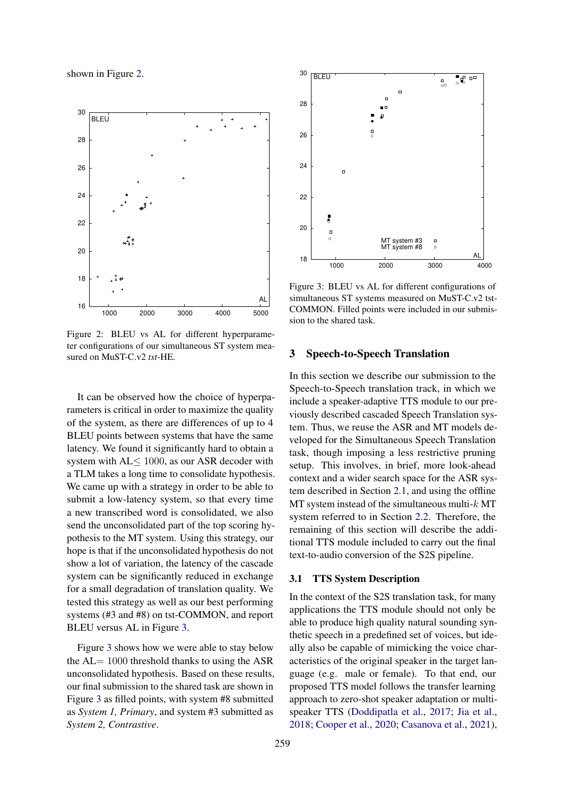<span id="page-4-3"></span>shown in Figure 2.

<span id="page-4-1"></span>

<span id="page-4-0"></span>Figure 2: BLEU vs AL for different hyperparameter configurations of our simultaneous ST system measured on MuST-C.v2 *tst*-HE.

It can be observed how the choice of hyperparameters is critical in order to maximize the quality of the system, as there are differences of up to 4 BLEU points between systems that have the same latency. We found it significantly har[d to obtain a](#page-7-25) [system](#page-7-25) with AL≤ [10](#page-4-0)00, as our ASR decoder with a TLM takes a long time to consolidate hypothesis. We came up with a strategy in order to be able to submit a low-latency system, so that every time a new transcribed word is consolidated, we also send the unconsolidated part of the top scoring hypothesis to the MT system. Using this strategy, our hope is [that if the unconsolid](#page-7-12)ated hypothesis do not show [a lot of variation,](#page-7-21) [the late](#page-7-21)ncy of the cascade system can be significantly reduced in exchange for a small degradation of translation quality. We tested this strategy as well as our best performing systems (#3 and #8) on tst-COMMON, and report BLEU versus AL in Figure 3.

Figure 3 shows how we were able to stay below the AL= 1000 threshold thanks to using the ASR unconsolidated hypothesis. Based on these results, our final submission to the shared task are shown in Figure 3 as filled points, with system #8 submitted as *System 1, Primary*, and system #3 submitted as *System 2, Contrastive*.



Figure 3: BLEU vs AL for different configurations of simultaneous ST systems measured on MuST-C.v2 tst-COMMON. Filled points were included in our submission to the shared task.

## <span id="page-4-2"></span>3 Speech-to-Speech Translation

In this section we describe our submission to the Speech-to-Speech translation track, in which we include a speaker-adaptive TTS module to our previously described cascaded Speech Translation system. Thus, we reuse the ASR and MT models developed for the Simultaneous Speech Translation task, though imposing a less restrictive pruning setup. This involves, in brief, more look-ahead context and a wider s[earch space](#page-7-10) [for the](#page-7-10) ASR system described in Section 2.1, and using the offline [MT](#page-7-11) system instead of the simultaneous multi- $k$  MT [system refe](#page-7-11)rred to in Section 2.2. Therefore, the remaining of this section will describe the additional TTS module included to carry out the final text-to-audio conversion of the S2S pipeline.

### 3.1 TTS System Description

In the contex[t of the S2S translation](#page-7-27) task, for many applications the TTS module should not only be able to produce high quality natural sounding synthetic speech in a predefined set of voices, but ideally also be capable of mimicking the voice characteristics of the original speaker in the target language (e.g. male or female). To that end, our proposed TTS model follows the transfer learning approach to zero-shot speaker adaptation or multispeaker TTS (Doddipatla et al., 2017; Jia et al., 2018; Cooper et al., 2020; Casanova et al., 2021),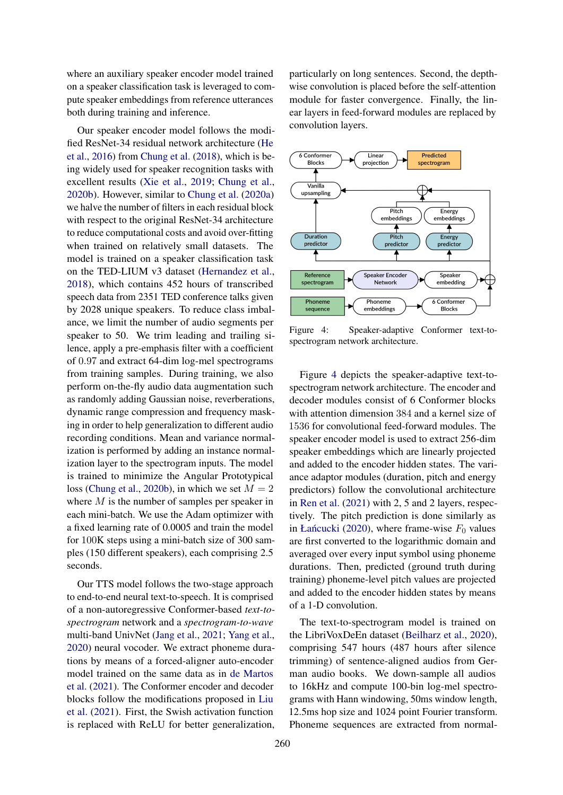<span id="page-5-1"></span>where an auxiliary speaker encoder model trained on a speaker classification task is leveraged to compute speaker embeddings from reference utterances both during training and inference.

Our speaker encoder model follows the modified ResNet-34 residual network architecture (He et al., 2016) from Chung et al. (2018), which is being widely used for speaker recognition tasks with excellent results (Xie et al., 2019; Chung et al., 2020b). However, similar to Chung et al. (2020a) we halve the number of filters in each residual block with respect to the original ResNet-34 architecture to reduce computational costs and avoid over-fitting when trained on relatively small datasets. The model is trained on a speaker classification task on the TED-LIUM v3 dataset (Hernandez et al., 2018), which contains 452 hours of transcribed speech data from 2351 TED conference talks given by 2028 unique speakers. To reduce class imbalance, we limit the number of audio segments per speaker to 50. We trim leading and trailing silence, apply a pre-emphasis filter with a coefficient of 0.97 and extract 64-dim log-mel spectrograms from training samples. During training, we also perform on-the-fly audio data augmentation such as randomly adding Gaussian noise, reverberations, dynamic range c[ompression and freq](#page-8-6)uency masking in order to help generalization to different audio recording conditions. Mean and variance normalization is performed by adding an instance normalization layer to the spectrogram inputs. The model is traine[d to minimize the](#page-7-0) A[ngular Prototypical](#page-8-0) loss (Chung et al., 2020b), in which we set  $M = 2$ where M is the number of samples per speaker in each mini-batch. We use the Adam optimizer with a fixed learning rate of 0.0005 and train the model for 100K steps using a mini-batch size of 300 samples (150 different speakers), each comprising 2.5 seconds.

Our TTS model follows the two-stage approach to end-to-end [neu](#page-4-1)ral text-to-speech. It is comprised of a non-autoregressive Conformer-based *text-tospectrogram* network and a *spectrogram-to-wave* multi-band UnivNet (Jang et al., 2021; Yang et al., 2020) neural vocoder. We extract phoneme durations by means of a forced-aligner auto-encoder model t[rained on the same data as](#page-7-28) in de Martos et al. (2021). The Conformer encoder and decoder blocks follow the modifications proposed in Liu et al. (2021). First, the Swish activation function is replaced with ReLU for better generalization,

particularly on long sentences. Second, the depthwise convolution is placed before the self-attention module for faster convergence. Finally, the linear layers in feed-forward modules are replaced by convolution layers.



Figure 4: Speaker-adaptive Conformer text-tospectrogram network architecture.

Figure 4 depicts the speaker-adaptive text-tospectrogram network architecture. The encoder and decoder modules c[ons](#page-5-0)ist of 6 Conformer blocks with attention dimension 384 and a kernel size of 1536 for [conv](#page-4-2)olutional feed-forward modules. The speaker encoder model is used to extract 256-dim speaker embeddings which are linearly projected and added to the encoder hidden states. The variance adaptor modules (duration, pitch and energy predictors) follow the convolutional architecture in Ren et al. (2021) with 2, 5 and 2 layers, respectivel[y. T](#page-4-1)he pitch prediction is done similarly as in Łańcucki (2020), where frame-wise  $F_0$  values are first converted to the logarithmic domain and averaged over every input symbol using phoneme durations. Then, predicted (ground truth during training) phoneme-level pitch values are projected and added to the encoder hidden states by means of a 1-D convolution.

<span id="page-5-0"></span>The text-to-spectrogram model is trained on the LibriVoxDeEn dataset (Beilharz et al., 2020), comprising 547 hours (487 hours after silence trimming) of sentence-aligned audios from German audio books. We down-sample all audios to 16kHz and compute 100-bin log-mel spectrograms with Hann windowing, 50ms window length, 12.5ms hop size and 1024 [poi](#page-4-3)nt Fourier transform. Phoneme sequences are extracted from normal-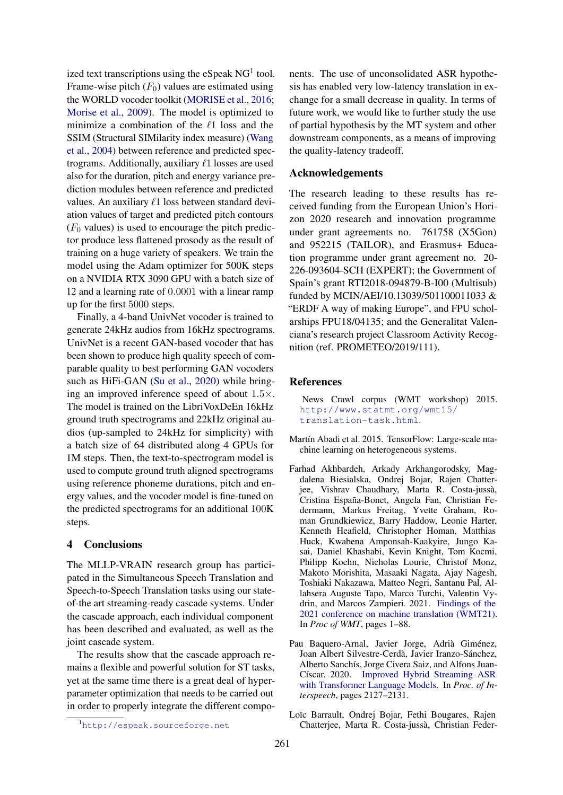<span id="page-6-1"></span>ized text transcriptions using the eSpeak  $NG<sup>1</sup>$  tool. Frame-wise pitch  $(F_0)$  values are estimated using the WORLD vocoder toolkit (MORISE et al., 2016; Morise et al., 2009). The model is optimized to minimize a combination of the  $\ell$ 1 loss and the SSIM (Structural SIMilarity index measure) (Wang et al., 2004) between reference and predicted spectrograms. Additionally, auxiliary  $\ell$ 1 losses are used also for the duration, pitch and energy variance prediction modules between reference and predicted values. An auxiliary  $\ell$ 1 loss between standard deviation values of target and predicted pitch contours  $(F<sub>0</sub>$  values) is used to encourage the pitch predictor produce less flattened prosody as the result of training on a huge variety of speakers. We train the model using the Adam optimizer for 500K steps on a NVIDIA RTX 3090 GPU with a batch size of 12 and a learning rate of 0.0001 with a linear ramp up for the first 5000 steps.

<span id="page-6-0"></span>Finally, a 4-band UnivNet vocoder is trained to generate 24kHz audios from 16kHz spectrograms. UnivNet is a recent GAN-based vocoder that has been shown [to](#page-6-1) produce high quality speech of comparable quality to best performing GAN vocoders such as HiFi-GAN (Su et al., 2020) while bringing an improved inference speed of about 1.5×. The model is trained on the LibriVoxDeEn 16kHz ground truth spectrograms and 22kHz original audios (up-sampled to 24kHz for simplicity) with a batch size of 64 distributed along 4 GPUs for 1M steps. Then, the text-to-spectrogram model is used to compute ground truth aligned spectrograms using reference phoneme durations, pitch and energy values, and the vocoder model is fine-tuned on the predicted [spe](#page-5-1)ctrograms for an additional 100K steps.

## 4 Conclusions

The MLLP-VRAIN research group has participated in the Simultaneous Speech Translation and Speech-to-Speech Translation tasks using our stateof-the art streaming-ready casca[de s](#page-6-2)ystems. Under the cascade approach, each individual component has been described and evaluated, as well as the joint cascade system.

The results show that the cascade approach remains a flexible and powerful solution for ST tasks, yet at the same time there is a great deal of hyperparameter optimizati[on](#page-6-3) that needs to be carried out in order to properly integrate the different compo<span id="page-6-4"></span>nents. The use of unconsolidated ASR hypothesis has enabled very low-latency translation in exchange for a small decrease in quality. In terms of future work, we would like to further study the use of partial hypothesis by the MT system and other downstream components, as a means of improving the quality-latency tradeoff.

## Acknowledgements

<span id="page-6-2"></span>The research leading to these results has received funding from the European Union's Horizon 2020 research and innovation programme under grant agreements no. 761758 (X5Gon) and 952215 (TAILOR), and Erasmus+ Education programme under grant agreement no. 20- 226-093604-SCH (EXPERT); the Government of Spain's grant RTI2018-094879-B-I00 (Multisub) funded by MCIN/AEI/10.13039/501100011033 & "ERDF A way of making Europe", and FPU scholarships FPU18/04135; and the Generalitat Valenciana's research project Classroom Activity Recognition (ref. PROMETEO/2019/111).

## References

News Crawl corpus (WMT workshop) 2015. http://www.statmt.org/wmt15/ translation-task.html.

- Martín Abadi et al. 2015. TensorFlow: Large-scale machine learning on heterogeneous systems.
- Farhad Akhbardeh, Arkady Arkhangorodsky, Magdalena Biesialska, Ondrej Bojar, Rajen Chatterjee, Vishrav Chaudhary, Marta R. Costa-jussà, Cristina España[-Bonet, Angela Fan, Ch](#page-7-29)ristian Federmann, Markus Freitag, Yvette Graham, Roman Grundkiewicz, Barry Haddow, Leonie Harter, Kenneth Heafield, Christopher Homan, Matthias Huck, Kw[abe](#page-6-4)na Amponsah-Kaakyire, Jungo Kasai, Daniel Khashabi, Kevin Knight, Tom Kocmi, Philipp Koehn, Nicholas Lourie, Christof Monz, Makoto Morishita, Masaaki Nagata, Ajay Nagesh, Toshiaki Nakazawa, Matteo Negri, Santanu Pal, Allahsera Auguste Tapo, Marco Turchi, Valentin Vydrin, and Marcos Zampieri. 2021. Findings of the 2021 conference on machine translation (WMT21). In *Proc of WMT*, pages 1–88.
- Pau Baquero-Arnal, Javier Jorge, Adrià Giménez, Joan Albert Silvestre-Cerdà, Javier Iranzo-Sánchez, Alberto Sanchís, Jorge Civera Saiz, and Alfons Juan-Císcar. 2020. Improved Hybrid Streaming ASR with Transformer Language Models. In *Proc. of Interspeech*, pages 2127–2131.
- Loïc Barrault, Ondrej Bojar, Fethi Bougares, Rajen Chatterjee, Marta R. Costa-jussà, Christian Feder-

<span id="page-6-3"></span><sup>1</sup>http://espeak.sourceforge.net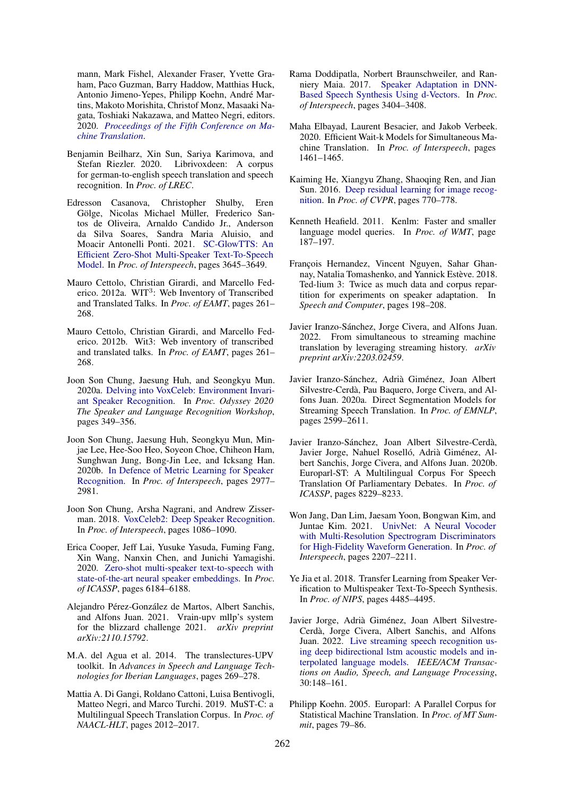mann, Mark Fishel, Alexander Fraser, Yvette Graham, Paco Guzman, Barry Haddow, Matthias Huck, Antonio Jimeno-Yepes, Philipp Koehn, André Martins, Makoto Morishita, Christof Monz, Masaaki Nagata, Toshiaki Nakazawa, and Matteo Negri, editors. 2020. *Proceedings of the Fifth Conference on Machine Translation*.

- Benjamin Beilharz, Xin Sun, Sariya Karimova, and Stefan Riezler. 2020. Librivoxdeen: A corpus for german-to-english speech translation and speech recognition. In *Proc. of LREC*.
- <span id="page-7-15"></span><span id="page-7-6"></span>Edresson Casanova, Christopher Shulby, Eren Gölge, Nicolas Michael Müller, Frederico Santos de Oliveira, Arnaldo Candido Jr., Anderson da Silva Soares, Sandra Maria Aluisio, and Moacir Antonelli Ponti. 2021. SC-GlowTTS: An Efficient Zero-Shot Multi-Speaker Text-To-Speech Model. In *Proc. of Interspeech*, pages 3645–3649.
- <span id="page-7-2"></span>Mauro Cettolo, Christian Girardi, and Marcello Federico. 2012a. WIT<sup>3</sup>: Web Inventory of Transcribed and Translated Talks. In *Proc. of EAMT*, pages 261– 268.
- <span id="page-7-29"></span>Mauro Cettolo, Christian Girardi, and Marcello Federico. 2012b. Wit3: Web inventory of transcribed and translated talks. In *Proc. of EAMT*, pages 261– 268.
- <span id="page-7-3"></span>Joon Son Chung, Jaesung Huh, and Seongkyu Mun. 2020a. Delving into VoxCeleb: Environment Invariant Speaker Recognition. In *Proc. Odyssey 2020 The Speaker and Language Recognition Workshop*, pages 349–356.
- <span id="page-7-20"></span><span id="page-7-5"></span>Joon Son Chung, Jaesung Huh, Seongkyu Mun, Minjae Lee, Hee-Soo Heo, Soyeon Choe, Chiheon Ham, Sunghwan Jung, Bong-Jin Lee, and Icksang Han. 2020b. In Defence of Metric Learning for Speaker Recognition. In *Proc. of Interspeech*, pages 2977– 2981.
- <span id="page-7-17"></span>Joon Son Chung, Arsha Nagrani, and Andrew Zisserman. 2018. VoxCeleb2: Deep Speaker Recognition. In *Proc. of Interspeech*, pages 1086–1090.
- <span id="page-7-1"></span>Erica Cooper, Jeff Lai, Yusuke Yasuda, Fuming Fang, Xin Wang, Nanxin Chen, and Junichi Yamagishi. 2020. Zero-shot multi-speaker text-to-speech with state-of-the-art neural speaker embeddings. In *Proc. of ICASSP*, pages 6184–6188.
- <span id="page-7-24"></span><span id="page-7-10"></span>Alejandro Pérez-González de Martos, Albert Sanchis, and Alfons Juan. 2021. Vrain-upv mllp's system for the blizzard challenge 2021. *arXiv preprint arXiv:2110.15792*.
- <span id="page-7-0"></span>M.A. del Agua et al. 2014. The translectures-UPV toolkit. In *Advances in Speech and Language Technologies for Iberian Languages*, pages 269–278.
- <span id="page-7-8"></span>Mattia A. Di Gangi, Roldano Cattoni, Luisa Bentivogli, Matteo Negri, and Marco Turchi. 2019. MuST-C: a Multilingual Speech Translation Corpus. In *Proc. of NAACL-HLT*, pages 2012–2017.
- <span id="page-7-28"></span>Rama Doddipatla, Norbert Braunschweiler, and Ranniery Maia. 2017. Speaker Adaptation in DNN-Based Speech Synthesis Using d-Vectors. In *Proc. of Interspeech*, pages 3404–3408.
- <span id="page-7-7"></span><span id="page-7-4"></span>Maha Elbayad, Laurent Besacier, and Jakob Verbeek. 2020. Efficient Wait-k Models for Simultaneous Machine Translation. In *Proc. of Interspeech*, pages 1461–1465.
- <span id="page-7-27"></span>Kaiming He, Xiangyu Zhang, Shaoqing Ren, and Jian Sun. 2016. Deep residual learning for image recognition. In *Proc. of CVPR*, pages 770–778.
- <span id="page-7-21"></span>Kenneth Heafield. 2011. Kenlm: Faster and smaller language model queries. In *Proc. of WMT*, page 187–197.
- <span id="page-7-18"></span>François Hernandez, Vincent Nguyen, Sahar Ghannay, Natalia Tomashenko, and Yannick Estève. 2018. Ted-lium 3: Twice as much data and corpus repartition for experiments on speaker adaptation. In *Speech and Computer*, pages 198–208.
- <span id="page-7-13"></span><span id="page-7-9"></span>Javier Iranzo-Sánchez, Jorge Civera, and Alfons Juan. 2022. From simultaneous to streaming machine translation by leveraging streaming history. *arXiv preprint arXiv:2203.02459*.
- <span id="page-7-16"></span>Javier Iranzo-Sánchez, Adrià Giménez, Joan Albert Silvestre-Cerdà, Pau Baquero, Jorge Civera, and Alfons Juan. 2020a. Direct Segmentation Models for Streaming Speech Translation. In *Proc. of EMNLP*, pages 2599–2611.
- <span id="page-7-19"></span><span id="page-7-12"></span>Javier Iranzo-Sánchez, Joan Albert Silvestre-Cerdà, Javier Jorge, Nahuel Roselló, Adrià Giménez, Albert Sanchis, Jorge Civera, and Alfons Juan. 2020b. Europarl-ST: A Multilingual Corpus For Speech Translation Of Parliamentary Debates. In *Proc. of ICASSP*, pages 8229–8233.
- <span id="page-7-26"></span><span id="page-7-22"></span>Won Jang, Dan Lim, Jaesam Yoon, Bongwan Kim, and Juntae Kim. 2021. UnivNet: A Neural Vocoder with Multi-Resolution Spectrogram Discriminators for High-Fidelity Waveform Generation. In *Proc. of Interspeech*, pages 2207–2211.
- <span id="page-7-14"></span>Ye Jia et al. 2018. Transfer Learning from Speaker Verification to Multispeaker Text-To-Speech Synthesis. In *Proc. of NIPS*, pages 4485–4495.
- <span id="page-7-25"></span><span id="page-7-11"></span>Javier Jorge, Adrià Giménez, Joan Albert Silvestre-Cerdà, Jorge Civera, Albert Sanchis, and Alfons Juan. 2022. Live streaming speech recognition using deep bidirectional lstm acoustic models and interpolated language models. *IEEE/ACM Transactions on Audio, Speech, and Language Processing*, 30:148–161.
- <span id="page-7-23"></span>Philipp Koehn. 2005. Europarl: A Parallel Corpus for Statistical Machine Translation. In *Proc. of MT Summit*, pages 79–86.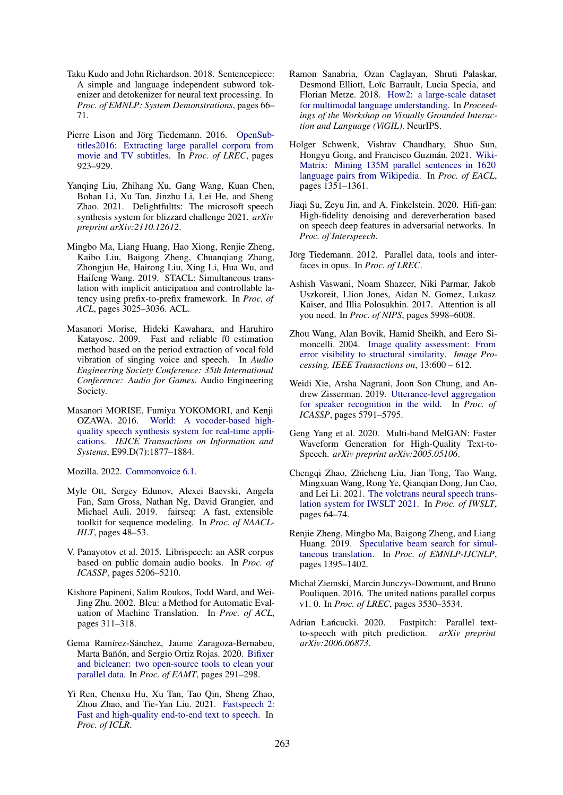- <span id="page-8-4"></span>Taku Kudo and John Richardson. 2018. Sentencepiece: A simple and language independent subword tokenizer and detokenizer for neural text processing. In *Proc. of EMNLP: System Demonstrations*, pages 66– 71.
- <span id="page-8-3"></span>Pierre Lison and Jörg Tiedemann. 2016. OpenSubtitles2016: Extracting large parallel corpora from movie and TV subtitles. In *Proc. of LREC*, pages 923–929.
- <span id="page-8-5"></span>Yanqing Liu, Zhihang Xu, Gang Wang, Kuan Chen, Bohan Li, Xu Tan, Jinzhu Li, Lei He, and Sheng Zhao. 2021. Delightfultts: The microsoft speech synthesis system for blizzard challenge 2021. *arXiv preprint arXiv:2110.12612*.
- Mingbo Ma, Liang Huang, Hao Xiong, Renjie Zheng, Kaibo Liu, Baigong Zheng, Chuanqiang Zhang, Zhongjun He, Hairong Liu, Xing Li, Hua Wu, and Haifeng Wang. 2019. STACL: Simultaneous translation with implicit anticipation and controllable latency using prefix-to-prefix framework. In *Proc. of ACL*, pages 3025–3036. ACL.
- <span id="page-8-2"></span><span id="page-8-1"></span>Masanori Morise, Hideki Kawahara, and Haruhiro Katayose. 2009. Fast and reliable f0 estimation method based on the period extraction of vocal fold vibration of singing voice and speech. In *Audio Engineering Society Conference: 35th International Conference: Audio for Games*. Audio Engineering Society.
- <span id="page-8-6"></span><span id="page-8-0"></span>Masanori MORISE, Fumiya YOKOMORI, and Kenji OZAWA. 2016. World: A vocoder-based highquality speech synthesis system for real-time applications. *IEICE Transactions on Information and Systems*, E99.D(7):1877–1884.

Mozilla. 2022. Commonvoice 6.1.

- Myle Ott, Sergey Edunov, Alexei Baevski, Angela Fan, Sam Gross, Nathan Ng, David Grangier, and Michael Auli. 2019. fairseq: A fast, extensible toolkit for sequence modeling. In *Proc. of NAACL-HLT*, pages 48–53.
- V. Panayotov et al. 2015. Librispeech: an ASR corpus based on public domain audio books. In *Proc. of ICASSP*, pages 5206–5210.
- Kishore Papineni, Salim Roukos, Todd Ward, and Wei-Jing Zhu. 2002. Bleu: a Method for Automatic Evaluation of Machine Translation. In *Proc. of ACL*, pages 311–318.
- Gema Ramírez-Sánchez, Jaume Zaragoza-Bernabeu, Marta Bañón, and Sergio Ortiz Rojas. 2020. Bifixer and bicleaner: two open-source tools to clean your parallel data. In *Proc. of EAMT*, pages 291–298.
- Yi Ren, Chenxu Hu, Xu Tan, Tao Qin, Sheng Zhao, Zhou Zhao, and Tie-Yan Liu. 2021. Fastspeech 2: Fast and high-quality end-to-end text to speech. In *Proc. of ICLR*.
- Ramon Sanabria, Ozan Caglayan, Shruti Palaskar, Desmond Elliott, Loïc Barrault, Lucia Specia, and Florian Metze. 2018. How2: a large-scale dataset for multimodal language understanding. In *Proceedings of the Workshop on Visually Grounded Interaction and Language (ViGIL)*. NeurIPS.
- Holger Schwenk, Vishrav Chaudhary, Shuo Sun, Hongyu Gong, and Francisco Guzmán. 2021. Wiki-Matrix: Mining 135M parallel sentences in 1620 language pairs from Wikipedia. In *Proc. of EACL*, pages 1351–1361.
- Jiaqi Su, Zeyu Jin, and A. Finkelstein. 2020. Hifi-gan: High-fidelity denoising and dereverberation based on speech deep features in adversarial networks. In *Proc. of Interspeech*.
- Jörg Tiedemann. 2012. Parallel data, tools and interfaces in opus. In *Proc. of LREC*.
- Ashish Vaswani, Noam Shazeer, Niki Parmar, Jakob Uszkoreit, Llion Jones, Aidan N. Gomez, Lukasz Kaiser, and Illia Polosukhin. 2017. Attention is all you need. In *Proc. of NIPS*, pages 5998–6008.
- Zhou Wang, Alan Bovik, Hamid Sheikh, and Eero Simoncelli. 2004. Image quality assessment: From error visibility to structural similarity. *Image Processing, IEEE Transactions on*, 13:600 – 612.
- Weidi Xie, Arsha Nagrani, Joon Son Chung, and Andrew Zisserman. 2019. Utterance-level aggregation for speaker recognition in the wild. In *Proc. of ICASSP*, pages 5791–5795.
- Geng Yang et al. 2020. Multi-band MelGAN: Faster Waveform Generation for High-Quality Text-to-Speech. *arXiv preprint arXiv:2005.05106*.
- Chengqi Zhao, Zhicheng Liu, Jian Tong, Tao Wang, Mingxuan Wang, Rong Ye, Qianqian Dong, Jun Cao, and Lei Li. 2021. The volctrans neural speech translation system for IWSLT 2021. In *Proc. of IWSLT*, pages 64–74.
- Renjie Zheng, Mingbo Ma, Baigong Zheng, and Liang Huang. 2019. Speculative beam search for simultaneous translation. In *Proc. of EMNLP-IJCNLP*, pages 1395–1402.
- Michał Ziemski, Marcin Junczys-Dowmunt, and Bruno Pouliquen. 2016. The united nations parallel corpus v1. 0. In *Proc. of LREC*, pages 3530–3534.
- Adrian Łańcucki. 2020. Fastpitch: Parallel textto-speech with pitch prediction. *arXiv preprint arXiv:2006.06873*.